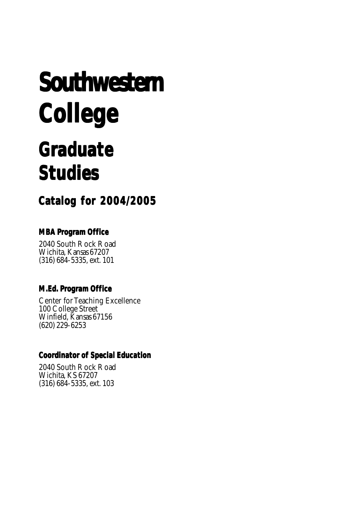# **Southwestern Southwestern College College**

## **Graduate Graduate Studies**

**Catalog for 2004/2005**

#### **MBA Program Office**

2040 South Rock Road Wichita, Kansas 67207 (316) 684-5335, ext. 101

#### **M.Ed. Program Office**

Center for Teaching Excellence 100 College Street Winfield, Kansas 67156 (620) 229-6253

#### **Coordinator of Special Education**

2040 South Rock Road Wichita, KS 67207 (316) 684-5335, ext. 103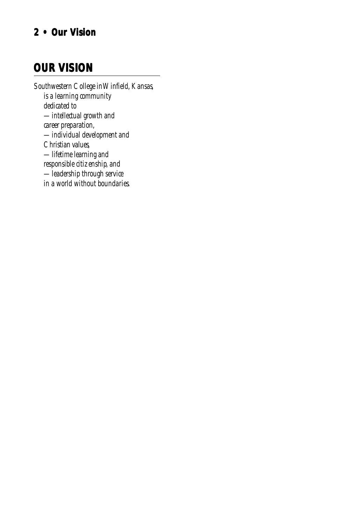## **2 • Our Vision 2 • Our Vision**

## **OUR VISION**

*Southwestern College in Winfield, Kansas, is a learning community dedicated to —intellectual growth and career preparation, —individual development and Christian values, —lifetime learning and responsible citizenship, and —leadership through service in a world without boundaries.*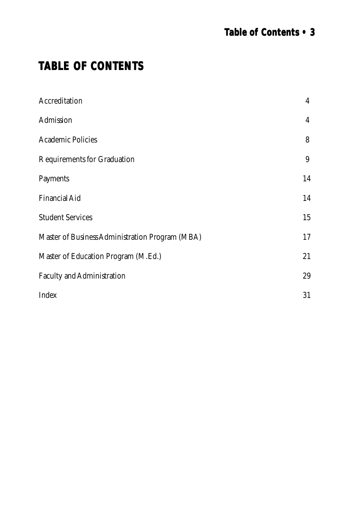## **TABLE OF CONTENTS**

| Accreditation                                   | $\overline{4}$ |
|-------------------------------------------------|----------------|
| Admission                                       | $\overline{4}$ |
| <b>Academic Policies</b>                        | 8              |
| Requirements for Graduation                     | 9              |
| Payments                                        | 14             |
| Financial Aid                                   | 14             |
| <b>Student Services</b>                         | 15             |
| Master of Business Administration Program (MBA) | 17             |
| Master of Education Program (M.Ed.)             | 21             |
| Faculty and Administration                      | 29             |
| Index                                           | 31             |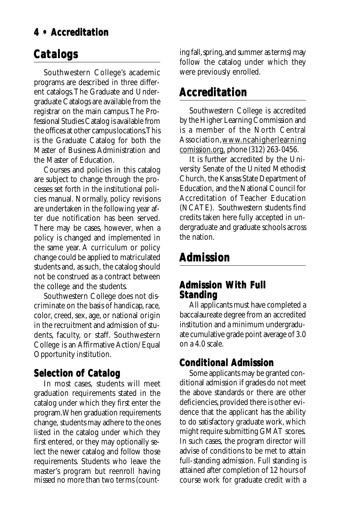### <span id="page-3-0"></span>**4 • Accreditation**

## **Catalogs**

Southwestern College's academic programs are described in three different catalogs. The Graduate and Undergraduate Catalogs are available from the registrar on the main campus. The Professional Studies Catalog is available from the offices at other campus locations. This is the Graduate Catalog for both the Master of Business Administration and the Master of Education.

Courses and policies in this catalog are subject to change through the processes set forth in the institutional policies manual. Normally, policy revisions are undertaken in the following year after due notification has been served. There may be cases, however, when a policy is changed and implemented in the same year. A curriculum or policy change could be applied to matriculated students and, as such, the catalog should not be construed as a contract between the college and the students.

Southwestern College does not discriminate on the basis of handicap, race, color, creed, sex, age, or national origin in the recruitment and admission of students, faculty, or staff. Southwestern College is an Affirmative Action/Equal Opportunity institution.

#### **Selection of Catalog**

In most cases, students will meet graduation requirements stated in the catalog under which they first enter the program. When graduation requirements change, students may adhere to the ones listed in the catalog under which they first entered, or they may optionally select the newer catalog and follow those requirements. Students who leave the master's program but reenroll having missed no more than two terms (counting fall, spring, and summer as terms) may follow the catalog under which they were previously enrolled.

## **Accreditation**

Southwestern College is accredited by the Higher Learning Commission and is a member of the North Central Association,www.ncahigherlearning comission.org, phone (312) 263-0456.

It is further accredited by the University Senate of the United Methodist Church, the Kansas State Department of Education, and the National Council for Accreditation of Teacher Education (NCATE). Southwestern students find credits taken here fully accepted in undergraduate and graduate schools across the nation.

## **Admission**

#### **Admission With Full Admission With Full Standing**

All applicants must have completed a baccalaureate degree from an accredited institution and a minimum undergraduate cumulative grade point average of 3.0 on a 4.0 scale.

### **Conditional Admission**

Some applicants may be granted conditional admission if grades do not meet the above standards or there are other deficiencies, provided there is other evidence that the applicant has the ability to do satisfactory graduate work, which might require submitting GMAT scores. In such cases, the program director will advise of conditions to be met to attain full-standing admission. Full standing is attained after completion of 12 hours of course work for graduate credit with a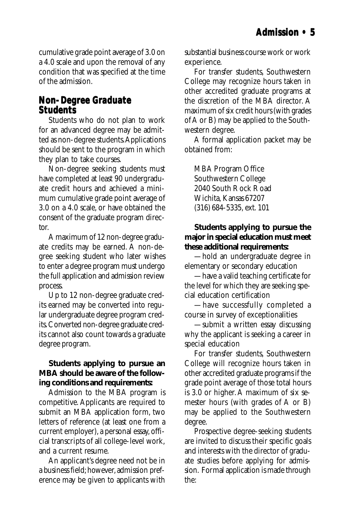<span id="page-4-0"></span>cumulative grade point average of 3.0 on a 4.0 scale and upon the removal of any condition that was specified at the time of the admission.

#### **Non-Degree Graduate Students**

Students who do not plan to work for an advanced degree may be admitted as non-degree students. Applications should be sent to the program in which they plan to take courses.

Non-degree seeking students must have completed at least 90 undergraduate credit hours and achieved a minimum cumulative grade point average of 3.0 on a 4.0 scale, or have obtained the consent of the graduate program director.

A maximum of 12 non-degree graduate credits may be earned. A non-degree seeking student who later wishes to enter a degree program must undergo the full application and admission review process.

Up to 12 non-degree graduate credits earned may be converted into regular undergraduate degree program credits. Converted non-degree graduate credits cannot also count towards a graduate degree program.

#### **Students applying to pursue an MBA should be aware of the following conditions and requirements:**

Admission to the MBA program is competitive. Applicants are required to submit an MBA application form, two letters of reference (at least one from a current employer), a personal essay, official transcripts of all college-level work, and a current resume.

An applicant's degree need not be in a business field; however, admission preference may be given to applicants with substantial business course work or work experience.

For transfer students, Southwestern College may recognize hours taken in other accredited graduate programs at the discretion of the MBA director. A maximum of six credit hours (with grades of A or B) may be applied to the Southwestern degree.

A formal application packet may be obtained from:

MBA Program Office Southwestern College 2040 South Rock Road Wichita, Kansas 67207 (316) 684-5335, ext. 101

#### **Students applying to pursue the major in special education must meet these additional requirements:**

—hold an undergraduate degree in elementary or secondary education

—have a valid teaching certificate for the level for which they are seeking special education certification

—have successfully completed a course in survey of exceptionalities

—submit a written essay discussing why the applicant is seeking a career in special education

For transfer students, Southwestern College will recognize hours taken in other accredited graduate programs if the grade point average of those total hours is 3.0 or higher. A maximum of six semester hours (with grades of A or B) may be applied to the Southwestern degree.

Prospective degree-seeking students are invited to discuss their specific goals and interests with the director of graduate studies before applying for admission. Formal application is made through the: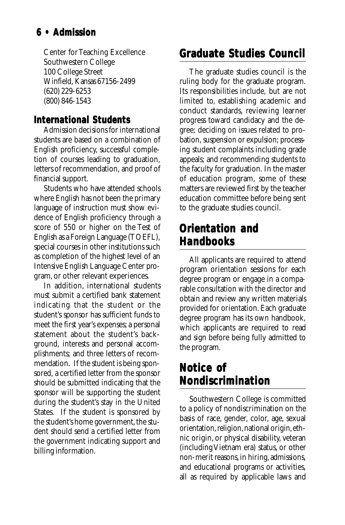## <span id="page-5-0"></span>**6 • Admission**

Center for Teaching Excellence Southwestern College 100 College Street Winfield, Kansas 67156-2499 (620) 229-6253 (800) 846-1543

#### **International Students Students**

Admission decisions for international students are based on a combination of English proficiency, successful completion of courses leading to graduation, letters of recommendation, and proof of financial support.

Students who have attended schools where English has not been the primary language of instruction must show evidence of English proficiency through a score of 550 or higher on the Test of English as a Foreign Language (TOEFL), special courses in other institutions such as completion of the highest level of an Intensive English Language Center program, or other relevant experiences.

In addition, international students must submit a certified bank statement indicating that the student or the student's sponsor has sufficient funds to meet the first year's expenses; a personal statement about the student's background, interests and personal accomplishments; and three letters of recommendation. If the student is being sponsored, a certified letter from the sponsor should be submitted indicating that the sponsor will be supporting the student during the student's stay in the United States. If the student is sponsored by the student's home government, the student should send a certified letter from the government indicating support and billing information.

## **Graduate Studies Council Graduate Studies Council**

The graduate studies council is the ruling body for the graduate program. Its responsibilities include, but are not limited to, establishing academic and conduct standards, reviewing learner progress toward candidacy and the degree; deciding on issues related to probation, suspension or expulsion; processing student complaints including grade appeals; and recommending students to the faculty for graduation. In the master of education program, some of these matters are reviewed first by the teacher education committee before being sent to the graduate studies council.

## **Orientation and Handbooks Handbooks**

All applicants are required to attend program orientation sessions for each degree program or engage in a comparable consultation with the director and obtain and review any written materials provided for orientation. Each graduate degree program has its own handbook, which applicants are required to read and sign before being fully admitted to the program.

## **Notice of of Nondiscrimination**

Southwestern College is committed to a policy of nondiscrimination on the basis of race, gender, color, age, sexual orientation, religion, national origin, ethnic origin, or physical disability, veteran (including Vietnam era) status, or other non-merit reasons, in hiring, admissions, and educational programs or activities, all as required by applicable laws and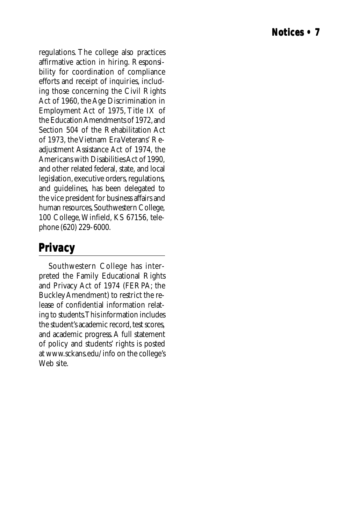<span id="page-6-0"></span>regulations. The college also practices affirmative action in hiring. Responsibility for coordination of compliance efforts and receipt of inquiries, including those concerning the Civil Rights Act of 1960, the Age Discrimination in Employment Act of 1975, Title IX of the Education Amendments of 1972, and Section 504 of the Rehabilitation Act of 1973, the Vietnam Era Veterans' Readjustment Assistance Act of 1974, the Americans with Disabilities Act of 1990, and other related federal, state, and local legislation, executive orders, regulations, and guidelines, has been delegated to the vice president for business affairs and human resources, Southwestern College, 100 College, Winfield, KS 67156, telephone (620) 229-6000.

## **Privacy**

Southwestern College has interpreted the Family Educational Rights and Privacy Act of 1974 (FERPA; the Buckley Amendment) to restrict the release of confidential information relating to students. This information includes the student's academic record, test scores, and academic progress. A full statement of policy and students' rights is posted at www.sckans.edu/info on the college's Web site.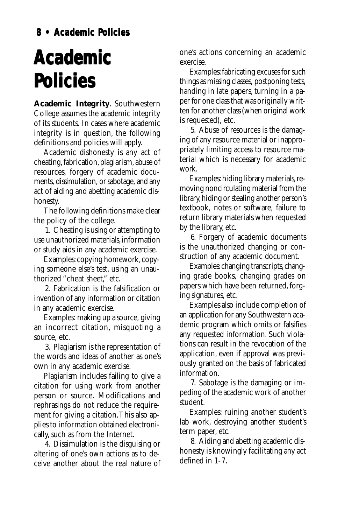## <span id="page-7-0"></span>**Academic Policies**

**Academic Integrity**. Southwestern College assumes the academic integrity of its students. In cases where academic integrity is in question, the following definitions and policies will apply.

Academic dishonesty is any act of cheating, fabrication, plagiarism, abuse of resources, forgery of academic documents, dissimulation, or sabotage, and any act of aiding and abetting academic dishonesty.

The following definitions make clear the policy of the college.

1. Cheating is using or attempting to use unauthorized materials, information or study aids in any academic exercise.

Examples: copying homework, copying someone else's test, using an unauthorized "cheat sheet," etc.

2. Fabrication is the falsification or invention of any information or citation in any academic exercise.

Examples: making up a source, giving an incorrect citation, misquoting a source, etc.

3. Plagiarism is the representation of the words and ideas of another as one's own in any academic exercise.

Plagiarism includes failing to give a citation for using work from another person or source. Modifications and rephrasings do not reduce the requirement for giving a citation. This also applies to information obtained electronically, such as from the Internet.

4. Dissimulation is the disguising or altering of one's own actions as to deceive another about the real nature of one's actions concerning an academic exercise.

Examples: fabricating excuses for such things as missing classes, postponing tests, handing in late papers, turning in a paper for one class that was originally written for another class (when original work is requested), etc.

5. Abuse of resources is the damaging of any resource material or inappropriately limiting access to resource material which is necessary for academic work.

Examples: hiding library materials, removing noncirculating material from the library, hiding or stealing another person's textbook, notes or software, failure to return library materials when requested by the library, etc.

6. Forgery of academic documents is the unauthorized changing or construction of any academic document.

Examples: changing transcripts, changing grade books, changing grades on papers which have been returned, forging signatures, etc.

Examples also include completion of an application for any Southwestern academic program which omits or falsifies any requested information. Such violations can result in the revocation of the application, even if approval was previously granted on the basis of fabricated information.

7. Sabotage is the damaging or impeding of the academic work of another student.

Examples: ruining another student's lab work, destroying another student's term paper, etc.

8. Aiding and abetting academic dishonesty is knowingly facilitating any act defined in 1-7.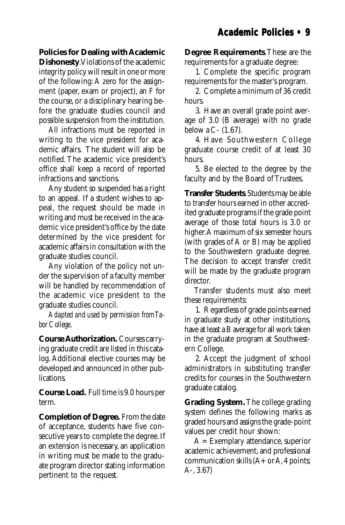<span id="page-8-0"></span>**Policies for Dealing with Academic**

**Dishonesty**. Violations of the academic integrity policy will result in one or more of the following: A zero for the assignment (paper, exam or project), an F for the course, or a disciplinary hearing before the graduate studies council and possible suspension from the institution.

All infractions must be reported in writing to the vice president for academic affairs. The student will also be notified. The academic vice president's office shall keep a record of reported infractions and sanctions.

Any student so suspended has a right to an appeal. If a student wishes to appeal, the request should be made in writing and must be received in the academic vice president's office by the date determined by the vice president for academic affairs in consultation with the graduate studies council.

Any violation of the policy not under the supervision of a faculty member will be handled by recommendation of the academic vice president to the graduate studies council.

*Adapted and used by permission from Tabor College*.

**Course Authorization.** Courses carrying graduate credit are listed in this catalog. Additional elective courses may be developed and announced in other publications.

**Course Load.** Full time is 9.0 hours per term.

**Completion of Degree.** From the date of acceptance, students have five consecutive years to complete the degree. If an extension is necessary, an application in writing must be made to the graduate program director stating information pertinent to the request.

**Degree Requirements**. These are the requirements for a graduate degree:

1. Complete the specific program requirements for the master's program.

2. Complete a minimum of 36 credit hours.

3. Have an overall grade point average of 3.0 (B average) with no grade below a C- (1.67).

4. Have Southwestern College graduate course credit of at least 30 hours.

5. Be elected to the degree by the faculty and by the Board of Trustees.

**Transfer Students**. Students may be able to transfer hours earned in other accredited graduate programs if the grade point average of those total hours is 3.0 or higher. A maximum of six semester hours (with grades of A or B) may be applied to the Southwestern graduate degree. The decision to accept transfer credit will be made by the graduate program director.

Transfer students must also meet these requirements:

1. Regardless of grade points earned in graduate study at other institutions, have at least a B average for all work taken in the graduate program at Southwestern College.

2. Accept the judgment of school administrators in substituting transfer credits for courses in the Southwestern graduate catalog.

**Grading System.** The college grading system defines the following marks as graded hours and assigns the grade-point values per credit hour shown:

 $A =$  Exemplary attendance, superior academic achievement, and professional communication skills  $(A + or A, 4 \text{ points})$ ; A-, 3.67)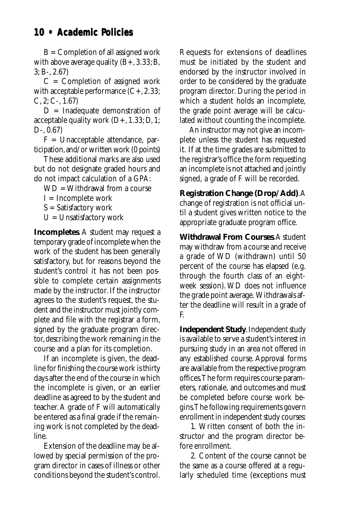### <span id="page-9-0"></span>**10 • Academic Policies olicies**

 $B =$  Completion of all assigned work with above average quality  $(B+, 3.33; B, 3.3)$ 3; B-, 2.67)

 $C =$  Completion of assigned work with acceptable performance  $(C+, 2.33)$ ;  $C, 2; C-, 1.67$ 

 $D =$  Inadequate demonstration of acceptable quality work (D+, 1.33; D, 1; D-, 0.67)

 $F =$  Unacceptable attendance, participation, and/or written work (0 points)

These additional marks are also used but do not designate graded hours and do not impact calculation of a GPA:

WD = Withdrawal from a course

 $I = Incomplete work$ 

S = Satisfactory work

 $U =$  Unsatisfactory work

**Incompletes**. A student may request a temporary grade of incomplete when the work of the student has been generally satisfactory, but for reasons beyond the student's control it has not been possible to complete certain assignments made by the instructor. If the instructor agrees to the student's request, the student and the instructor must jointly complete and file with the registrar a form, signed by the graduate program director, describing the work remaining in the course and a plan for its completion.

If an incomplete is given, the deadline for finishing the course work is thirty days after the end of the course in which the incomplete is given, or an earlier deadline as agreed to by the student and teacher. A grade of F will automatically be entered as a final grade if the remaining work is not completed by the deadline.

Extension of the deadline may be allowed by special permission of the program director in cases of illness or other conditions beyond the student's control.

Requests for extensions of deadlines must be initiated by the student and endorsed by the instructor involved in order to be considered by the graduate program director. During the period in which a student holds an incomplete, the grade point average will be calculated without counting the incomplete.

An instructor may not give an incomplete unless the student has requested it. If at the time grades are submitted to the registrar's office the form requesting an incomplete is not attached and jointly signed, a grade of F will be recorded.

**Registration Change (Drop/Add)**. A change of registration is not official until a student gives written notice to the appropriate graduate program office.

**Withdrawal From Courses**. A student may withdraw from a course and receive a grade of WD (withdrawn) until 50 percent of the course has elapsed (e.g. through the fourth class of an eightweek session). WD does not influence the grade point average. Withdrawals after the deadline will result in a grade of F.

**Independent Study**. Independent study is available to serve a student's interest in pursuing study in an area not offered in any established course. Approval forms are available from the respective program offices. The form requires course parameters, rationale, and outcomes and must be completed before course work begins. The following requirements govern enrollment in independent study courses:

1. Written consent of both the instructor and the program director before enrollment.

2. Content of the course cannot be the same as a course offered at a regularly scheduled time (exceptions must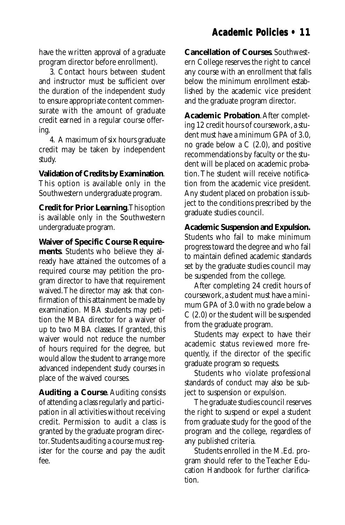### **Academic Policies • 11**

<span id="page-10-0"></span>have the written approval of a graduate program director before enrollment).

3. Contact hours between student and instructor must be sufficient over the duration of the independent study to ensure appropriate content commensurate with the amount of graduate credit earned in a regular course offering.

4. A maximum of six hours graduate credit may be taken by independent study.

**Validation of Credits by Examination**. This option is available only in the Southwestern undergraduate program.

**Credit for Prior Learning**. This option is available only in the Southwestern undergraduate program.

**Waiver of Specific Course Requirements**. Students who believe they already have attained the outcomes of a required course may petition the program director to have that requirement waived. The director may ask that confirmation of this attainment be made by examination. MBA students may petition the MBA director for a waiver of up to two MBA classes. If granted, this waiver would not reduce the number of hours required for the degree, but would allow the student to arrange more advanced independent study courses in place of the waived courses.

**Auditing a Course**. Auditing consists of attending a class regularly and participation in all activities without receiving credit. Permission to audit a class is granted by the graduate program director. Students auditing a course must register for the course and pay the audit fee.

**Cancellation of Courses**. Southwestern College reserves the right to cancel any course with an enrollment that falls below the minimum enrollment established by the academic vice president and the graduate program director.

**Academic Probation**. After completing 12 credit hours of coursework, a student must have a minimum GPA of 3.0, no grade below a  $C(2.0)$ , and positive recommendations by faculty or the student will be placed on academic probation. The student will receive notification from the academic vice president. Any student placed on probation is subject to the conditions prescribed by the graduate studies council.

**Academic Suspension and Expulsion.** Students who fail to make minimum progress toward the degree and who fail to maintain defined academic standards set by the graduate studies council may be suspended from the college.

After completing 24 credit hours of coursework, a student must have a minimum GPA of 3.0 with no grade below a C (2.0) or the student will be suspended from the graduate program.

Students may expect to have their academic status reviewed more frequently, if the director of the specific graduate program so requests.

Students who violate professional standards of conduct may also be subject to suspension or expulsion.

The graduate studies council reserves the right to suspend or expel a student from graduate study for the good of the program and the college, regardless of any published criteria.

Students enrolled in the M.Ed. program should refer to the Teacher Education Handbook for further clarification.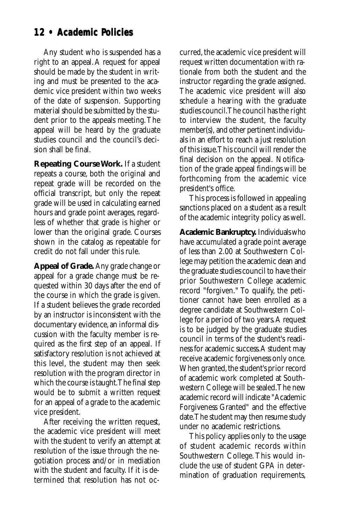#### <span id="page-11-0"></span>**12 • Academic Policies olicies**

Any student who is suspended has a right to an appeal. A request for appeal should be made by the student in writing and must be presented to the academic vice president within two weeks of the date of suspension. Supporting material should be submitted by the student prior to the appeals meeting. The appeal will be heard by the graduate studies council and the council's decision shall be final.

**Repeating Course Work.** If a student repeats a course, both the original and repeat grade will be recorded on the official transcript, but only the repeat grade will be used in calculating earned hours and grade point averages, regardless of whether that grade is higher or lower than the original grade. Courses shown in the catalog as repeatable for credit do not fall under this rule.

**Appeal of Grade.** Any grade change or appeal for a grade change must be requested within 30 days after the end of the course in which the grade is given. If a student believes the grade recorded by an instructor is inconsistent with the documentary evidence, an informal discussion with the faculty member is required as the first step of an appeal. If satisfactory resolution is not achieved at this level, the student may then seek resolution with the program director in which the course is taught. The final step would be to submit a written request for an appeal of a grade to the academic vice president.

After receiving the written request, the academic vice president will meet with the student to verify an attempt at resolution of the issue through the negotiation process and/or in mediation with the student and faculty. If it is determined that resolution has not occurred, the academic vice president will request written documentation with rationale from both the student and the instructor regarding the grade assigned. The academic vice president will also schedule a hearing with the graduate studies council. The council has the right to interview the student, the faculty member(s), and other pertinent individuals in an effort to reach a just resolution of this issue. This council will render the final decision on the appeal. Notification of the grade appeal findings will be forthcoming from the academic vice president's office.

This process is followed in appealing sanctions placed on a student as a result of the academic integrity policy as well.

**Academic Bankruptcy.** Individuals who have accumulated a grade point average of less than 2.00 at Southwestern College may petition the academic dean and the graduate studies council to have their prior Southwestern College academic record "forgiven." To qualify, the petitioner cannot have been enrolled as a degree candidate at Southwestern College for a period of two years. A request is to be judged by the graduate studies council in terms of the student's readiness for academic success. A student may receive academic forgiveness only once. When granted, the student's prior record of academic work completed at Southwestern College will be sealed. The new academic record will indicate "Academic Forgiveness Granted" and the effective date. The student may then resume study under no academic restrictions.

This policy applies only to the usage of student academic records within Southwestern College. This would include the use of student GPA in determination of graduation requirements,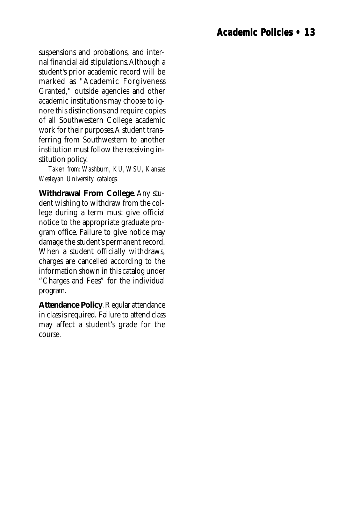<span id="page-12-0"></span>suspensions and probations, and internal financial aid stipulations. Although a student's prior academic record will be marked as "Academic Forgiveness Granted," outside agencies and other academic institutions may choose to ignore this distinctions and require copies of all Southwestern College academic work for their purposes. A student transferring from Southwestern to another institution must follow the receiving institution policy.

*Taken from: Washburn, KU, WSU, Kansas Wesleyan University catalogs.*

**Withdrawal From College**. Any student wishing to withdraw from the college during a term must give official notice to the appropriate graduate program office. Failure to give notice may damage the student's permanent record. When a student officially withdraws, charges are cancelled according to the information shown in this catalog under "Charges and Fees" for the individual program.

**Attendance Policy**. Regular attendance in class is required. Failure to attend class may affect a student's grade for the course.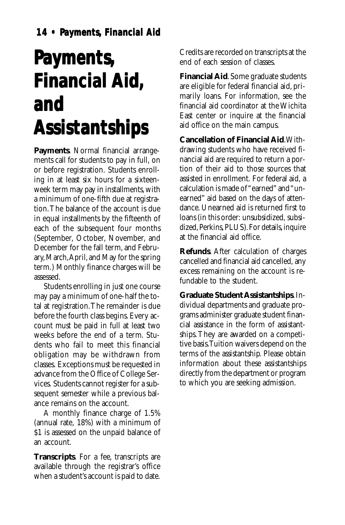## <span id="page-13-0"></span>**Payments, Financial Aid, and Assistantships Assistantships**

**Payments**. Normal financial arrangements call for students to pay in full, on or before registration. Students enrolling in at least six hours for a sixteenweek term may pay in installments, with a minimum of one-fifth due at registration. The balance of the account is due in equal installments by the fifteenth of each of the subsequent four months (September, October, November, and December for the fall term, and February, March, April, and May for the spring term.) Monthly finance charges will be assessed.

Students enrolling in just one course may pay a minimum of one-half the total at registration. The remainder is due before the fourth class begins. Every account must be paid in full at least two weeks before the end of a term. Students who fail to meet this financial obligation may be withdrawn from classes. Exceptions must be requested in advance from the Office of College Services. Students cannot register for a subsequent semester while a previous balance remains on the account.

A monthly finance charge of 1.5% (annual rate, 18%) with a minimum of \$1 is assessed on the unpaid balance of an account.

**Transcripts**. For a fee, transcripts are available through the registrar's office when a student's account is paid to date.

Credits are recorded on transcripts at the end of each session of classes.

**Financial Aid**. Some graduate students are eligible for federal financial aid, primarily loans. For information, see the financial aid coordinator at the Wichita East center or inquire at the financial aid office on the main campus.

**Cancellation of Financial Aid**. Withdrawing students who have received financial aid are required to return a portion of their aid to those sources that assisted in enrollment. For federal aid, a calculation is made of "earned" and "unearned" aid based on the days of attendance. Unearned aid is returned first to loans (in this order: unsubsidized, subsidized, Perkins, PLUS). For details, inquire at the financial aid office.

**Refunds**. After calculation of charges cancelled and financial aid cancelled, any excess remaining on the account is refundable to the student.

**Graduate Student Assistantships**. Individual departments and graduate programs administer graduate student financial assistance in the form of assistantships. They are awarded on a competitive basis. Tuition waivers depend on the terms of the assistantship. Please obtain information about these assistantships directly from the department or program to which you are seeking admission.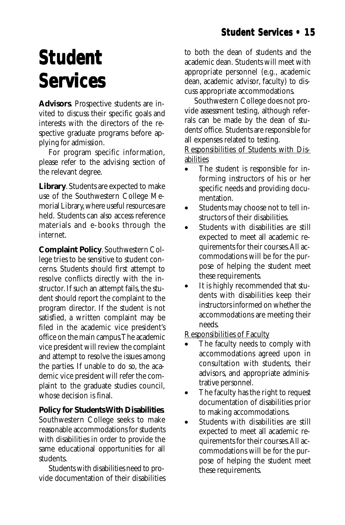## <span id="page-14-0"></span>**Student Student Services Services**

**Advisors**. Prospective students are invited to discuss their specific goals and interests with the directors of the respective graduate programs before applying for admission.

For program specific information, please refer to the advising section of the relevant degree.

**Library**. Students are expected to make use of the Southwestern College Memorial Library, where useful resources are held. Students can also access reference materials and e-books through the internet.

**Complaint Policy**. Southwestern College tries to be sensitive to student concerns. Students should first attempt to resolve conflicts directly with the instructor. If such an attempt fails, the student should report the complaint to the program director. If the student is not satisfied, a written complaint may be filed in the academic vice president's office on the main campus. The academic vice president will review the complaint and attempt to resolve the issues among the parties. If unable to do so, the academic vice president will refer the complaint to the graduate studies council, whose decision is final.

#### **Policy for Students With Disabilities**.

Southwestern College seeks to make reasonable accommodations for students with disabilities in order to provide the same educational opportunities for all students.

Students with disabilities need to provide documentation of their disabilities

to both the dean of students and the academic dean. Students will meet with appropriate personnel (e.g., academic dean, academic advisor, faculty) to discuss appropriate accommodations.

Southwestern College does not provide assessment testing, although referrals can be made by the dean of students' office. Students are responsible for all expenses related to testing.

Responsibilities of Students with Disabilities

- The student is responsible for informing instructors of his or her specific needs and providing documentation.
- Students may choose not to tell instructors of their disabilities.
- Students with disabilities are still expected to meet all academic requirements for their courses. All accommodations will be for the purpose of helping the student meet these requirements.
- It is highly recommended that students with disabilities keep their instructors informed on whether the accommodations are meeting their needs.

Responsibilities of Faculty

- The faculty needs to comply with accommodations agreed upon in consultation with students, their advisors, and appropriate administrative personnel.
- The faculty has the right to request documentation of disabilities prior to making accommodations.
- Students with disabilities are still expected to meet all academic requirements for their courses. All accommodations will be for the purpose of helping the student meet these requirements.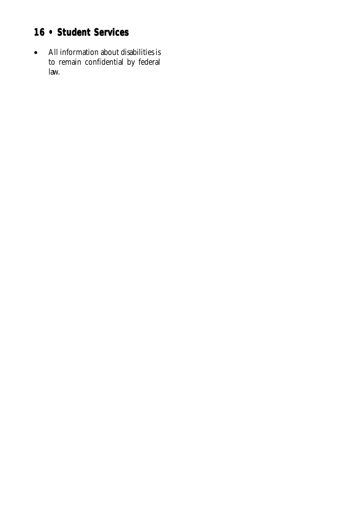## **16 • Student Services 16 • Services**

• All information about disabilities is to remain confidential by federal law.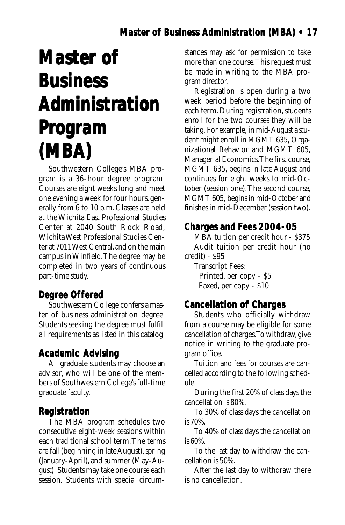### **Master of Business Administration (MBA) • 17**

## <span id="page-16-0"></span>**Master of Master Business Business Administration Administration Program (MBA)**

Southwestern College's MBA program is a 36-hour degree program. Courses are eight weeks long and meet one evening a week for four hours, generally from 6 to 10 p.m. Classes are held at the Wichita East Professional Studies Center at 2040 South Rock Road, Wichita West Professional Studies Center at 7011 West Central, and on the main campus in Winfield. The degree may be completed in two years of continuous part-time study.

#### **Degree Offered**

Southwestern College confers a master of business administration degree. Students seeking the degree must fulfill all requirements as listed in this catalog.

#### **Academic Advising**

All graduate students may choose an advisor, who will be one of the members of Southwestern College's full-time graduate faculty.

#### **Registration**

The MBA program schedules two consecutive eight-week sessions within each traditional school term. The terms are fall (beginning in late August), spring (January-April), and summer (May-August). Students may take one course each session. Students with special circumstances may ask for permission to take more than one course. This request must be made in writing to the MBA program director.

Registration is open during a two week period before the beginning of each term. During registration, students enroll for the two courses they will be taking. For example, in mid-August a student might enroll in MGMT 635, Organizational Behavior and MGMT 605, Managerial Economics. The first course, MGMT 635, begins in late August and continues for eight weeks to mid-October (session one). The second course, MGMT 605, begins in mid-October and finishes in mid-December (session two).

#### **Charges and Fees 2004-05**

MBA tuition per credit hour - \$375 Audit tuition per credit hour (no credit) - \$95

Transcript Fees: Printed, per copy - \$5 Faxed, per copy - \$10

#### **Cancellation of Charges of Charges**

Students who officially withdraw from a course may be eligible for some cancellation of charges. To withdraw, give notice in writing to the graduate program office.

Tuition and fees for courses are cancelled according to the following schedule:

During the first 20% of class days the cancellation is 80%.

To 30% of class days the cancellation is 70%.

To 40% of class days the cancellation is 60%.

To the last day to withdraw the cancellation is 50%.

After the last day to withdraw there is no cancellation.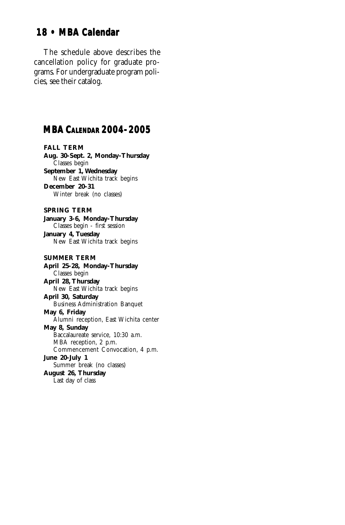### <span id="page-17-0"></span>**18 • MBA Calendar 18 • MBA Calendar**

The schedule above describes the cancellation policy for graduate programs. For undergraduate program policies, see their catalog.

#### **MBA CALENDAR 2004-2005**

**FALL TERM**

**Aug. 30-Sept. 2, Monday-Thursday** Classes begin **September 1, Wednesday** New East Wichita track begins **December 20-31** Winter break (no classes) **SPRING TERM January 3-6, Monday-Thursday** Classes begin - first session **January 4, Tuesday** New East Wichita track begins **SUMMER TERM April 25-28, Monday-Thursday** Classes begin **April 28, Thursday** New East Wichita track begins **April 30, Saturday** Business Administration Banquet **May 6, Friday** Alumni reception, East Wichita center **May 8, Sunday** Baccalaureate service, 10:30 a.m. MBA reception, 2 p.m. Commencement Convocation, 4 p.m. **June 20-July 1** Summer break (no classes) **August 26, Thursday** Last day of class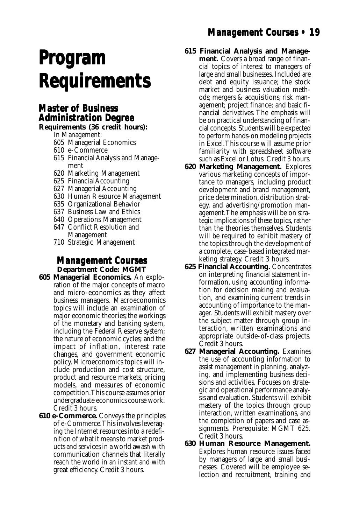## <span id="page-18-0"></span>**Program Program Requirements Requirements**

#### **Master of Business of Business Administration Degree**

**Requirements (36 credit hours):**

- In Management:
- 605 Managerial Economics
- 610 e-Commerce
- 615 Financial Analysis and Management
- 620 Marketing Management
- 625 Financial Accounting
- 627 Managerial Accounting
- 630 Human Resource Management
- 635 Organizational Behavior
- 637 Business Law and Ethics
- 640 Operations Management
- 647 Conflict Resolution and Management
- 710 Strategic Management

#### **Management Courses Management Courses Department Code: MGMT**

- **605 Managerial Economics.** An exploration of the major concepts of macro and micro-economics as they affect business managers. Macroeconomics topics will include an examination of major economic theories; the workings of the monetary and banking system, including the Federal Reserve system; the nature of economic cycles; and the impact of inflation, interest rate changes, and government economic policy. Microeconomics topics will include production and cost structure, product and resource markets, pricing models, and measures of economic competition. This course assumes prior undergraduate economics course work. Credit 3 hours.
- **610 e-Commerce.** Conveys the principles of e-Commerce. This involves leveraging the Internet resources into a redefinition of what it means to market products and services in a world awash with communication channels that literally reach the world in an instant and with great efficiency. Credit 3 hours.

## **Management Courses • 19**

**615 Financial Analysis and Manage-**

**ment.** Covers a broad range of financial topics of interest to managers of large and small businesses. Included are debt and equity issuance; the stock market and business valuation methods; mergers & acquisitions; risk management; project finance; and basic financial derivatives. The emphasis will be on practical understanding of financial concepts. Students will be expected to perform hands-on modeling projects in Excel. This course will assume prior familiarity with spreadsheet software such as Excel or Lotus. Credit 3 hours.

- **620 Marketing Management.** Explores various marketing concepts of importance to managers, including product development and brand management, price determination, distribution strategy, and advertising/promotion management. The emphasis will be on strategic implications of these topics, rather than the theories themselves. Students will be required to exhibit mastery of the topics through the development of a complete, case-based integrated marketing strategy. Credit 3 hours.
- **625 Financial Accounting.** Concentrates on interpreting financial statement information, using accounting information for decision making and evaluation, and examining current trends in accounting of importance to the manager. Students will exhibit mastery over the subject matter through group interaction, written examinations and appropriate outside-of-class projects. Credit 3 hours.
- **627 Managerial Accounting.** Examines the use of accounting information to assist management in planning, analyzing, and implementing business decisions and activities. Focuses on strategic and operational performance analysis and evaluation. Students will exhibit mastery of the topics through group interaction, written examinations, and the completion of papers and case assignments. Prerequisite: MGMT 625. Credit 3 hours.
- **630 Human Resource Management.** Explores human resource issues faced by managers of large and small businesses. Covered will be employee selection and recruitment, training and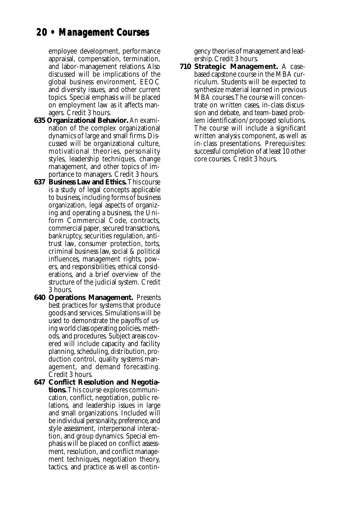## **20 • Management Courses 20 • Management Courses**

employee development, performance appraisal, compensation, termination, and labor-management relations. Also discussed will be implications of the global business environment, EEOC and diversity issues, and other current topics. Special emphasis will be placed on employment law as it affects managers. Credit 3 hours.

- **635 Organizational Behavior.** An examination of the complex organizational dynamics of large and small firms. Discussed will be organizational culture, motivational theories, personality styles, leadership techniques, change management, and other topics of importance to managers. Credit 3 hours.
- **637 Business Law and Ethics.** This course is a study of legal concepts applicable to business, including forms of business organization, legal aspects of organizing and operating a business, the Uniform Commercial Code, contracts, commercial paper, secured transactions, bankruptcy, securities regulation, antitrust law, consumer protection, torts, criminal business law, social & political influences, management rights, powers, and responsibilities, ethical considerations, and a brief overview of the structure of the judicial system. Credit 3 hours.
- **640 Operations Management.** Presents best practices for systems that produce goods and services. Simulations will be used to demonstrate the payoffs of using world class operating policies, methods, and procedures. Subject areas covered will include capacity and facility planning, scheduling, distribution, production control, quality systems management, and demand forecasting. Credit 3 hours.
- **647 Conflict Resolution and Negotiations.** This course explores communication, conflict, negotiation, public relations, and leadership issues in large and small organizations. Included will be individual personality, preference, and style assessment, interpersonal interaction, and group dynamics. Special emphasis will be placed on conflict assessment, resolution, and conflict management techniques, negotiation theory, tactics, and practice as well as contin-

gency theories of management and leadership. Credit 3 hours.

**710 Strategic Management.** A casebased capstone course in the MBA curriculum. Students will be expected to synthesize material learned in previous MBA courses. The course will concentrate on written cases, in-class discussion and debate, and team-based problem identification/proposed solutions. The course will include a significant written analysis component, as well as in-class presentations. Prerequisites: successful completion of at least 10 other core courses. Credit 3 hours.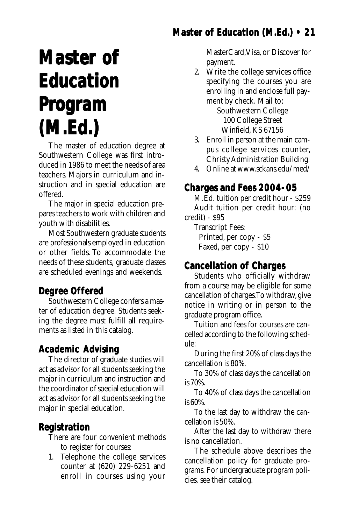## **Master of Education (M.Ed.) • 21**

## <span id="page-20-0"></span>**Master of Master of Education Education Program (M.Ed.) (M.Ed.)**

The master of education degree at Southwestern College was first introduced in 1986 to meet the needs of area teachers. Majors in curriculum and instruction and in special education are offered.

The major in special education prepares teachers to work with children and youth with disabilities.

Most Southwestern graduate students are professionals employed in education or other fields. To accommodate the needs of these students, graduate classes are scheduled evenings and weekends.

#### **Degree Offered**

Southwestern College confers a master of education degree. Students seeking the degree must fulfill all requirements as listed in this catalog.

#### **Academic Advising**

The director of graduate studies will act as advisor for all students seeking the major in curriculum and instruction and the coordinator of special education will act as advisor for all students seeking the major in special education.

#### **Registration**

There are four convenient methods to register for courses:

1. Telephone the college services counter at (620) 229-6251 and enroll in courses using your

MasterCard, Visa, or Discover for payment.

2. Write the college services office specifying the courses you are enrolling in and enclose full payment by check. Mail to:

Southwestern College 100 College Street Winfield, KS 67156

- 3. Enroll in person at the main campus college services counter, Christy Administration Building.
- 4. Online at www.sckans.edu/med/

#### **Charges and Fees 2004-05**

M.Ed. tuition per credit hour - \$259 Audit tuition per credit hour: (no credit) - \$95

Transcript Fees: Printed, per copy - \$5 Faxed, per copy - \$10

#### **Cancellation of Charges of Charges**

Students who officially withdraw from a course may be eligible for some cancellation of charges. To withdraw, give notice in writing or in person to the graduate program office.

Tuition and fees for courses are cancelled according to the following schedule:

During the first 20% of class days the cancellation is 80%.

To 30% of class days the cancellation is 70%.

To 40% of class days the cancellation is 60%.

To the last day to withdraw the cancellation is 50%.

After the last day to withdraw there is no cancellation.

The schedule above describes the cancellation policy for graduate programs. For undergraduate program policies, see their catalog.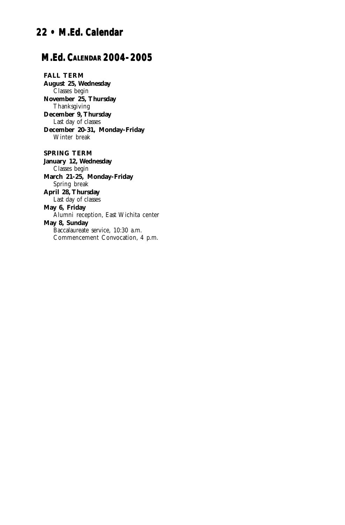## <span id="page-21-0"></span>**22 • M.Ed. Calendar 22 • M.Ed.**

#### **M.Ed. CALENDAR 2004-2005**

**FALL TERM August 25, Wednesday** Classes begin **November 25, Thursday** Thanksgiving **December 9, Thursday** Last day of classes **December 20-31, Monday-Friday** Winter break

**SPRING TERM January 12, Wednesday** Classes begin **March 21-25, Monday-Friday** Spring break **April 28, Thursday** Last day of classes **May 6, Friday** Alumni reception, East Wichita center **May 8, Sunday** Baccalaureate service, 10:30 a.m. Commencement Convocation, 4 p.m.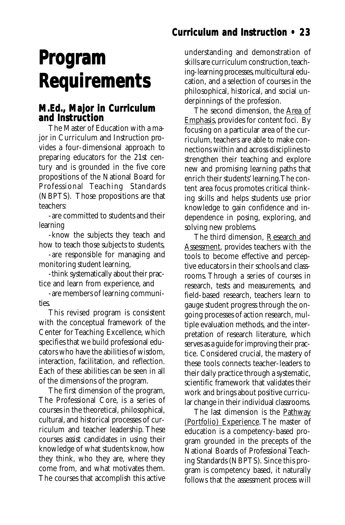### **Curriculum and Instruction • 23**

## <span id="page-22-0"></span>**Program Program Requirements Requirements**

#### **M.Ed., Major in Curriculum and Instruction**

The Master of Education with a major in Curriculum and Instruction provides a four-dimensional approach to preparing educators for the 21st century and is grounded in the five core propositions of the National Board for Professional Teaching Standards (NBPTS). Those propositions are that teachers:

-are committed to students and their learning

-know the subjects they teach and how to teach those subjects to students,

-are responsible for managing and monitoring student learning,

-think systematically about their practice and learn from experience, and

-are members of learning communities.

This revised program is consistent with the conceptual framework of the Center for Teaching Excellence, which specifies that we build professional educators who have the abilities of wisdom, interaction, facilitation, and reflection. Each of these abilities can be seen in all of the dimensions of the program.

The first dimension of the program, The Professional Core, is a series of courses in the theoretical, philosophical, cultural, and historical processes of curriculum and teacher leadership. These courses assist candidates in using their knowledge of what students know, how they think, who they are, where they come from, and what motivates them. The courses that accomplish this active

understanding and demonstration of skills are curriculum construction, teaching-learning processes, multicultural education, and a selection of courses in the philosophical, historical, and social underpinnings of the profession.

The second dimension, the Area of Emphasis, provides for content foci. By focusing on a particular area of the curriculum, teachers are able to make connections within and across disciplines to strengthen their teaching and explore new and promising learning paths that enrich their students' learning. The content area focus promotes critical thinking skills and helps students use prior knowledge to gain confidence and independence in posing, exploring, and solving new problems.

The third dimension, Research and Assessment, provides teachers with the tools to become effective and perceptive educators in their schools and classrooms. Through a series of courses in research, tests and measurements, and field-based research, teachers learn to gauge student progress through the ongoing processes of action research, multiple evaluation methods, and the interpretation of research literature, which serves as a guide for improving their practice. Considered crucial, the mastery of these tools connects teacher-leaders to their daily practice through a systematic, scientific framework that validates their work and brings about positive curricular change in their individual classrooms.

The last dimension is the Pathway (Portfolio) Experience. The master of education is a competency-based program grounded in the precepts of the National Boards of Professional Teaching Standards (NBPTS). Since this program is competency based, it naturally follows that the assessment process will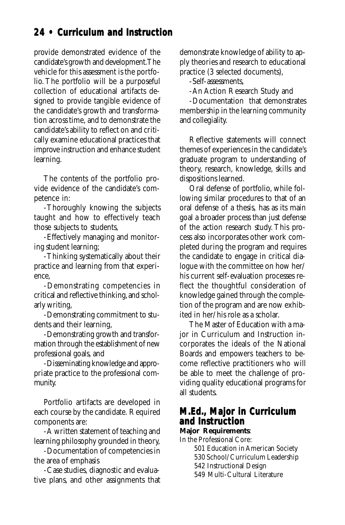### **24 • Curriculum and Instruction**

provide demonstrated evidence of the candidate's growth and development. The vehicle for this assessment is the portfolio. The portfolio will be a purposeful collection of educational artifacts designed to provide tangible evidence of the candidate's growth and transformation across time, and to demonstrate the candidate's ability to reflect on and critically examine educational practices that improve instruction and enhance student learning.

The contents of the portfolio provide evidence of the candidate's competence in:

-Thoroughly knowing the subjects taught and how to effectively teach those subjects to students,

-Effectively managing and monitoring student learning;

-Thinking systematically about their practice and learning from that experience,

-Demonstrating competencies in critical and reflective thinking, and scholarly writing,

-Demonstrating commitment to students and their learning,

-Demonstrating growth and transformation through the establishment of new professional goals, and

-Disseminating knowledge and appropriate practice to the professional community.

Portfolio artifacts are developed in each course by the candidate. Required components are:

-A written statement of teaching and learning philosophy grounded in theory,

-Documentation of competencies in the area of emphasis

-Case studies, diagnostic and evaluative plans, and other assignments that demonstrate knowledge of ability to apply theories and research to educational practice (3 selected documents),

-Self-assessments,

-An Action Research Study and

-Documentation that demonstrates membership in the learning community and collegiality.

Reflective statements will connect themes of experiences in the candidate's graduate program to understanding of theory, research, knowledge, skills and dispositions learned.

Oral defense of portfolio, while following similar procedures to that of an oral defense of a thesis, has as its main goal a broader process than just defense of the action research study. This process also incorporates other work completed during the program and requires the candidate to engage in critical dialogue with the committee on how her/ his current self-evaluation processes reflect the thoughtful consideration of knowledge gained through the completion of the program and are now exhibited in her/his role as a scholar.

The Master of Education with a major in Curriculum and Instruction incorporates the ideals of the National Boards and empowers teachers to become reflective practitioners who will be able to meet the challenge of providing quality educational programs for all students.

#### **M.Ed., Major in Curriculum and Instruction**

**Major Requirements**:

In the Professional Core:

501 Education in American Society

530 School/Curriculum Leadership

542 Instructional Design

549 Multi-Cultural Literature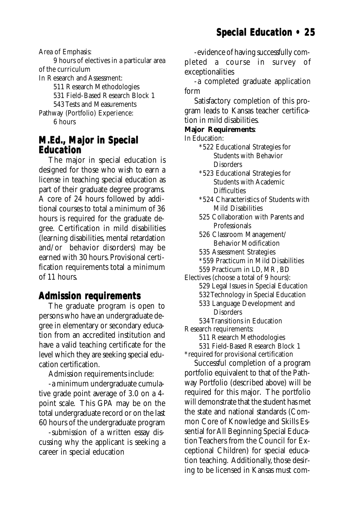<span id="page-24-0"></span>Area of Emphasis:

9 hours of electives in a particular area of the curriculum

In Research and Assessment:

511 Research Methodologies

531 Field-Based Research Block 1

543 Tests and Measurements

Pathway (Portfolio) Experience:

6 hours

#### **M.Ed., Major in Special Major in Education**

The major in special education is designed for those who wish to earn a license in teaching special education as part of their graduate degree programs. A core of 24 hours followed by additional courses to total a minimum of 36 hours is required for the graduate degree. Certification in mild disabilities (learning disabilities, mental retardation and/or behavior disorders) may be earned with 30 hours. Provisional certification requirements total a minimum of 11 hours.

#### **Admission requirements Admission**

The graduate program is open to persons who have an undergraduate degree in elementary or secondary education from an accredited institution and have a valid teaching certificate for the level which they are seeking special education certification.

Admission requirements include:

-a minimum undergraduate cumulative grade point average of 3.0 on a 4 point scale. This GPA may be on the total undergraduate record or on the last 60 hours of the undergraduate program

-submission of a written essay discussing why the applicant is seeking a career in special education

-evidence of having successfully completed a course in survey of exceptionalities

-a completed graduate application form

Satisfactory completion of this program leads to Kansas teacher certification in mild disabilities.

#### **Major Requirements**:

In Education:

- \*522 Educational Strategies for Students with Behavior **Disorders**
- \*523 Educational Strategies for Students with Academic **Difficulties**
- \*524 Characteristics of Students with Mild Disabilities
- 525 Collaboration with Parents and Professionals
- 526 Classroom Management/ Behavior Modification
- 535 Assessment Strategies
- \*559 Practicum in Mild Disabilities
- 559 Practicum in LD, MR, BD

Electives (choose a total of 9 hours):

- 529 Legal Issues in Special Education
- 532 Technology in Special Education
- 533 Language Development and **Disorders**

534 Transitions in Education Research requirements:

511 Research Methodologies

531 Field-Based Research Block 1 \*required for provisional certification

Successful completion of a program portfolio equivalent to that of the Pathway Portfolio (described above) will be required for this major. The portfolio will demonstrate that the student has met the state and national standards (Common Core of Knowledge and Skills Essential for All Beginning Special Education Teachers from the Council for Exceptional Children) for special education teaching. Additionally, those desiring to be licensed in Kansas must com-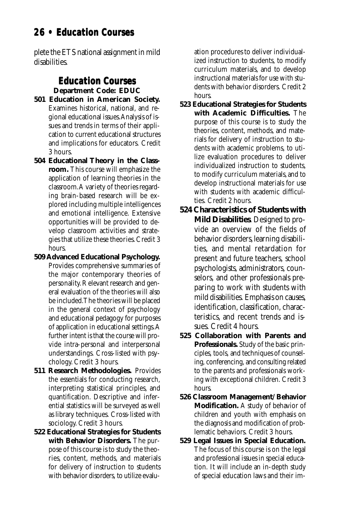## <span id="page-25-0"></span>**26 • Education Courses 26 • Courses**

plete the ETS national assignment in mild disabilities.

#### **Education Courses Education Courses Department Code: EDUC**

- **501 Education in American Society.** Examines historical, national, and regional educational issues. Analysis of issues and trends in terms of their application to current educational structures and implications for educators. Credit 3 hours.
- **504 Educational Theory in the Classroom.** This course will emphasize the application of learning theories in the classroom. A variety of theories regarding brain-based research will be explored including multiple intelligences and emotional intelligence. Extensive opportunities will be provided to develop classroom activities and strategies that utilize these theories. Credit 3 hours.
- **509 Advanced Educational Psychology.** Provides comprehensive summaries of the major contemporary theories of personality. Relevant research and general evaluation of the theories will also be included. The theories will be placed in the general context of psychology and educational pedagogy for purposes of application in educational settings. A further intent is that the course will provide intra-personal and interpersonal understandings. Cross-listed with psychology. Credit 3 hours.
- **511 Research Methodologies.** Provides the essentials for conducting research, interpreting statistical principles, and quantification. Descriptive and inferential statistics will be surveyed as well as library techniques. Cross-listed with sociology. Credit 3 hours.
- **522 Educational Strategies for Students with Behavior Disorders.** The purpose of this course is to study the theories, content, methods, and materials for delivery of instruction to students with behavior disorders, to utilize evalu-

ation procedures to deliver individualized instruction to students, to modify curriculum materials, and to develop instructional materials for use with students with behavior disorders. Credit 2 hours.

- **523 Educational Strategies for Students with Academic Difficulties.** The purpose of this course is to study the theories, content, methods, and materials for delivery of instruction to students with academic problems, to utilize evaluation procedures to deliver individualized instruction to students, to modify curriculum materials, and to develop instructional materials for use with students with academic difficulties. Credit 2 hours.
- **524 Characteristics of Students with Mild Disabilities**. Designed to provide an overview of the fields of behavior disorders, learning disabilities, and mental retardation for present and future teachers, school psychologists, administrators, counselors, and other professionals preparing to work with students with mild disabilities. Emphasis on causes, identification, classification, characteristics, and recent trends and issues. Credit 4 hours.
- **525 Collaboration with Parents and Professionals.** Study of the basic principles, tools, and techniques of counseling, conferencing, and consulting related to the parents and professionals working with exceptional children. Credit 3 hours.
- **526 Classroom Management/Behavior Modification.** A study of behavior of children and youth with emphasis on the diagnosis and modification of problematic behaviors. Credit 3 hours.
- **529 Legal Issues in Special Education.** The focus of this course is on the legal and professional issues in special education. It will include an in-depth study of special education laws and their im-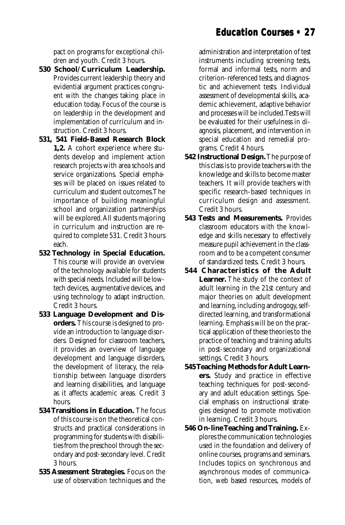### **Education Courses • 27**

pact on programs for exceptional children and youth. Credit 3 hours.

- **530 School/Curriculum Leadership.** Provides current leadership theory and evidential argument practices congruent with the changes taking place in education today. Focus of the course is on leadership in the development and implementation of curriculum and instruction. Credit 3 hours.
- **531, 541 Field-Based Research Block 1,2.** A cohort experience where students develop and implement action research projects with area schools and service organizations. Special emphases will be placed on issues related to curriculum and student outcomes. The importance of building meaningful school and organization partnerships will be explored. All students majoring in curriculum and instruction are required to complete 531. Credit 3 hours each.
- **532 Technology in Special Education.** This course will provide an overview of the technology available for students with special needs. Included will be lowtech devices, augmentative devices, and using technology to adapt instruction. Credit 3 hours.
- **533 Language Development and Disorders.** This course is designed to provide an introduction to language disorders. Designed for classroom teachers, it provides an overview of language development and language disorders, the development of literacy, the relationship between language disorders and learning disabilities, and language as it affects academic areas. Credit 3 hours.
- **534 Transitions in Education.** The focus of this course is on the theoretical constructs and practical considerations in programming for students with disabilities from the preschool through the secondary and post-secondary level. Credit 3 hours.
- **535 Assessment Strategies.** Focus on the use of observation techniques and the

administration and interpretation of test instruments including screening tests, formal and informal tests, norm and criterion-referenced tests, and diagnostic and achievement tests. Individual assessment of developmental skills, academic achievement, adaptive behavior and processes will be included. Tests will be evaluated for their usefulness in diagnosis, placement, and intervention in special education and remedial programs. Credit 4 hours.

- **542 Instructional Design.** The purpose of this class is to provide teachers with the knowledge and skills to become master teachers. It will provide teachers with specific research-based techniques in curriculum design and assessment. Credit 3 hours.
- **543 Tests and Measurements.** Provides classroom educators with the knowledge and skills necessary to effectively measure pupil achievement in the classroom and to be a competent consumer of standardized tests. Credit 3 hours.
- **544 Characteristics of the Adult Learner.** The study of the context of adult learning in the 21st century and major theories on adult development and learning, including androgogy, selfdirected learning, and transformational learning. Emphasis will be on the practical application of these theories to the practice of teaching and training adults in post-secondary and organizational settings. Credit 3 hours.
- **545 Teaching Methods for Adult Learners.** Study and practice in effective teaching techniques for post-secondary and adult education settings. Special emphasis on instructional strategies designed to promote motivation in learning. Credit 3 hours.
- **546 On-line Teaching and Training.** Explores the communication technologies used in the foundation and delivery of online courses, programs and seminars. Includes topics on synchronous and asynchronous modes of communication, web based resources, models of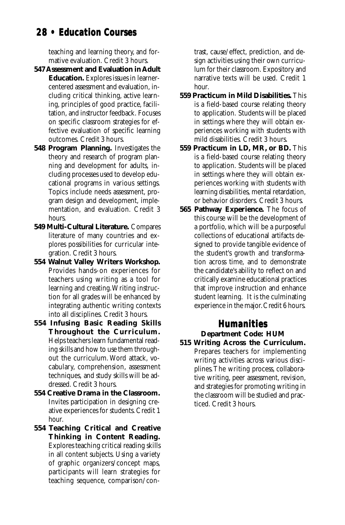## <span id="page-27-0"></span>**28 • Education Courses 28 • Courses**

teaching and learning theory, and formative evaluation. Credit 3 hours.

- **547 Assessment and Evaluation in Adult Education.** Explores issues in learnercentered assessment and evaluation, including critical thinking, active learning, principles of good practice, facilitation, and instructor feedback. Focuses on specific classroom strategies for effective evaluation of specific learning outcomes. Credit 3 hours.
- **548 Program Planning.** Investigates the theory and research of program planning and development for adults, including processes used to develop educational programs in various settings. Topics include needs assessment, program design and development, implementation, and evaluation. Credit 3 hours.
- **549 Multi-Cultural Literature.** Compares literature of many countries and explores possibilities for curricular integration. Credit 3 hours.
- **554 Walnut Valley Writers Workshop.** Provides hands-on experiences for teachers using writing as a tool for learning and creating. Writing instruction for all grades will be enhanced by integrating authentic writing contexts into all disciplines. Credit 3 hours.
- **554 Infusing Basic Reading Skills Throughout the Curriculum.** Helps teachers learn fundamental reading skills and how to use them throughout the curriculum. Word attack, vocabulary, comprehension, assessment techniques, and study skills will be addressed. Credit 3 hours.
- **554 Creative Drama in the Classroom.** Invites participation in designing creative experiences for students. Credit 1 hour.
- **554 Teaching Critical and Creative Thinking in Content Reading.** Explores teaching critical reading skills in all content subjects. Using a variety of graphic organizers/concept maps, participants will learn strategies for teaching sequence, comparison/con-

trast, cause/effect, prediction, and design activities using their own curriculum for their classroom. Expository and narrative texts will be used. Credit 1 hour.

- **559 Practicum in Mild Disabilities.** This is a field-based course relating theory to application. Students will be placed in settings where they will obtain experiences working with students with mild disabilities. Credit 3 hours.
- **559 Practicum in LD, MR, or BD.** This is a field-based course relating theory to application. Students will be placed in settings where they will obtain experiences working with students with learning disabilities, mental retardation, or behavior disorders. Credit 3 hours.
- **565 Pathway Experience.** The focus of this course will be the development of a portfolio, which will be a purposeful collections of educational artifacts designed to provide tangible evidence of the student's growth and transformation across time, and to demonstrate the candidate's ability to reflect on and critically examine educational practices that improve instruction and enhance student learning. It is the culminating experience in the major. Credit 6 hours.

#### **Humanities**

#### **Department Code: HUM**

**515 Writing Across the Curriculum.** Prepares teachers for implementing writing activities across various disciplines. The writing process, collaborative writing, peer assessment, revision, and strategies for promoting writing in the classroom will be studied and practiced. Credit 3 hours.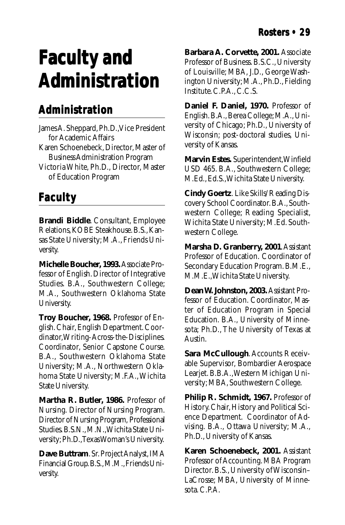## <span id="page-28-0"></span>**Faculty and Faculty and Administration Administration**

## **Administration**

James A. Sheppard, Ph.D., Vice President for Academic Affairs

- Karen Schoenebeck, Director, Master of Business Administration Program
- Victoria White, Ph.D., Director, Master of Education Program

## **Faculty**

**Brandi Biddle**. Consultant, Employee Relations, KOBE Steakhouse. B.S., Kansas State University; M.A., Friends University.

**Michelle Boucher, 1993.** Associate Professor of English. Director of Integrative Studies. B.A., Southwestern College; M.A., Southwestern Oklahoma State University.

**Troy Boucher, 1968.** Professor of English. Chair, English Department. Coordinator, Writing-Across-the-Disciplines. Coordinator, Senior Capstone Course. B.A., Southwestern Oklahoma State University; M.A., Northwestern Oklahoma State University; M.F.A., Wichita State University.

**Martha R. Butler, 1986.** Professor of Nursing. Director of Nursing Program. Director of Nursing Program, Professional Studies. B.S.N., M.N., Wichita State University; Ph.D., Texas Woman's University.

**Dave Buttram**. Sr. Project Analyst, IMA Financial Group. B.S., M.M., Friends University.

**Barbara A. Corvette, 2001.** Associate Professor of Business. B.S.C., University of Louisville; MBA, J.D., George Washington University; M.A., Ph.D., Fielding Institute. C.P.A., C.C.S.

**Daniel F. Daniel, 1970.** Professor of English. B.A., Berea College; M.A., University of Chicago; Ph.D., University of Wisconsin; post-doctoral studies, University of Kansas.

**Marvin Estes.** Superintendent, Winfield USD 465. B.A., Southwestern College; M.Ed., Ed.S., Wichita State University.

**Cindy Goertz**. Like Skills/Reading Discovery School Coordinator. B.A., Southwestern College; Reading Specialist, Wichita State University; M.Ed. Southwestern College.

**Marsha D. Granberry, 2001**. Assistant Professor of Education. Coordinator of Secondary Education Program. B.M.E., M.M.E., Wichita State University.

**Dean W. Johnston, 2003.** Assistant Professor of Education. Coordinator, Master of Education Program in Special Education. B.A., University of Minnesota; Ph.D., The University of Texas at Austin.

**Sara McCullough**. Accounts Receivable Supervisor, Bombardier Aerospace Learjet. B.B.A., Western Michigan University; MBA, Southwestern College.

**Philip R. Schmidt, 1967.** Professor of History. Chair, History and Political Science Department. Coordinator of Advising. B.A., Ottawa University; M.A., Ph.D., University of Kansas.

**Karen Schoenebeck, 2001.** Assistant Professor of Accounting. MBA Program Director. B.S., University of Wisconsin– LaCrosse; MBA, University of Minnesota. C.P.A.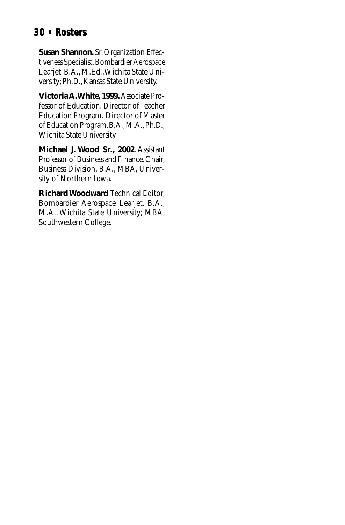### **30 • Rosters 30 • Rosters**

**Susan Shannon.** Sr. Organization Effectiveness Specialist, Bombardier Aerospace Learjet. B.A., M.Ed., Wichita State University; Ph.D., Kansas State University.

**Victoria A. White, 1999.** Associate Professor of Education. Director of Teacher Education Program. Director of Master of Education Program. B.A., M.A., Ph.D., Wichita State University.

**Michael J. Wood Sr., 2002**. Assistant Professor of Business and Finance. Chair, Business Division. B.A., MBA, University of Northern Iowa.

**Richard Woodward**. Technical Editor, Bombardier Aerospace Learjet. B.A., M.A., Wichita State University; MBA, Southwestern College.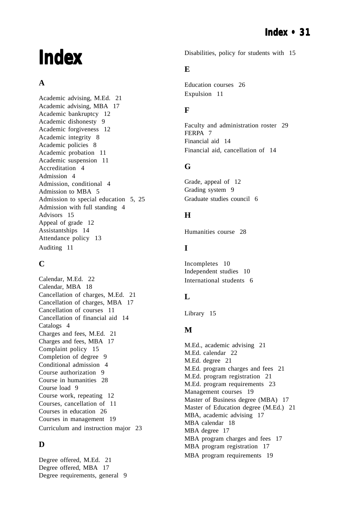## **Index**

#### **A**

[Academic advising, M.Ed. 21](#page-20-0) [Academic advising, MBA 17](#page-16-0) [Academic bankruptcy 12](#page-11-0) [Academic dishonesty 9](#page-8-0) [Academic forgiveness 12](#page-11-0) [Academic integrity 8](#page-7-0) [Academic policies 8](#page-7-0) [Academic probation 11](#page-10-0) [Academic suspension 11](#page-10-0) [Accreditation 4](#page-3-0) [Admission 4](#page-3-0) [Admission, conditional 4](#page-3-0) [Admission to MBA 5](#page-4-0) [Admission to special education 5](#page-4-0)[, 25](#page-24-0) [Admission with full standing 4](#page-3-0) [Advisors 15](#page-14-0) [Appeal of grade 12](#page-11-0) [Assistantships 14](#page-13-0) [Attendance policy 13](#page-12-0) [Auditing 11](#page-10-0)

#### **C**

[Calendar, M.Ed. 22](#page-21-0) [Calendar, MBA 18](#page-17-0) [Cancellation of charges, M.Ed. 21](#page-20-0) [Cancellation of charges, MBA 17](#page-16-0) [Cancellation of courses 11](#page-10-0) [Cancellation of financial aid 14](#page-13-0) [Catalogs 4](#page-3-0) [Charges and fees, M.Ed. 21](#page-20-0) [Charges and fees, MBA 17](#page-16-0) [Complaint policy 15](#page-14-0) [Completion of degree 9](#page-8-0) [Conditional admission 4](#page-3-0) [Course authorization 9](#page-8-0) [Course in humanities 28](#page-27-0) [Course load 9](#page-8-0) [Course work, repeating 12](#page-11-0) [Courses, cancellation of 11](#page-10-0) [Courses in education 26](#page-25-0) [Courses in management 19](#page-18-0) [Curriculum and instruction major 23](#page-22-0)

#### **D**

[Degree offered, M.Ed. 21](#page-20-0) [Degree offered, MBA 17](#page-16-0) [Degree requirements, general 9](#page-8-0) [Disabilities, policy for students with 15](#page-14-0)

#### **E**

[Education courses 26](#page-25-0) [Expulsion 11](#page-10-0)

#### **F**

[Faculty and administration roster 29](#page-28-0) [FERPA 7](#page-6-0) [Financial aid 14](#page-13-0) [Financial aid, cancellation of 14](#page-13-0)

#### **G**

[Grade, appeal of 12](#page-11-0) [Grading system 9](#page-8-0) [Graduate studies council 6](#page-5-0)

#### **H**

[Humanities course 28](#page-27-0)

#### **I**

[Incompletes 10](#page-9-0) [Independent studies 10](#page-9-0) [International students 6](#page-5-0)

#### **L**

[Library 15](#page-14-0)

#### **M**

[M.Ed., academic advising 21](#page-20-0) [M.Ed. calendar 22](#page-21-0) [M.Ed. degree 21](#page-20-0) [M.Ed. program charges and fees 21](#page-20-0) [M.Ed. program registration 21](#page-20-0) [M.Ed. program requirements 23](#page-22-0) [Management courses 19](#page-18-0) [Master of Business degree \(MBA\) 17](#page-16-0) [Master of Education degree \(M.Ed.\) 21](#page-20-0) [MBA, academic advising 17](#page-16-0) [MBA calendar 18](#page-17-0) [MBA degree 17](#page-16-0) [MBA program charges and fees 17](#page-16-0) [MBA program registration 17](#page-16-0) [MBA program requirements 19](#page-18-0)